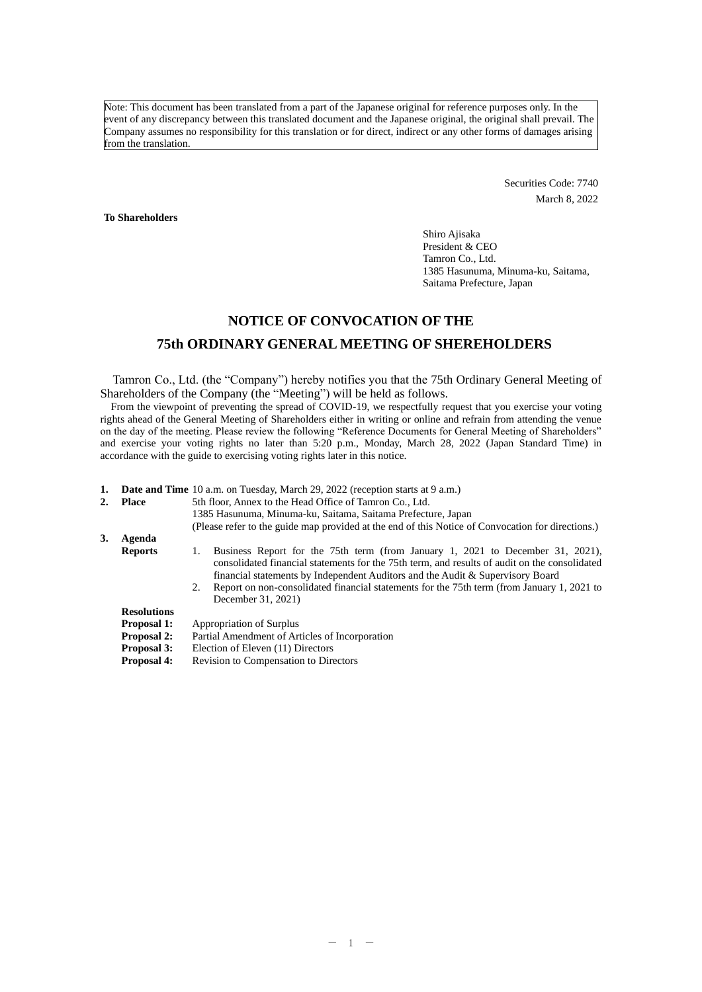Note: This document has been translated from a part of the Japanese original for reference purposes only. In the event of any discrepancy between this translated document and the Japanese original, the original shall prevail. The Company assumes no responsibility for this translation or for direct, indirect or any other forms of damages arising from the translation.

> Securities Code: 7740 March 8, 2022

**To Shareholders**

Shiro Ajisaka President & CEO Tamron Co., Ltd. 1385 Hasunuma, Minuma-ku, Saitama, Saitama Prefecture, Japan

# **NOTICE OF CONVOCATION OF THE**

## **75th ORDINARY GENERAL MEETING OF SHEREHOLDERS**

Tamron Co., Ltd. (the "Company") hereby notifies you that the 75th Ordinary General Meeting of Shareholders of the Company (the "Meeting") will be held as follows.

From the viewpoint of preventing the spread of COVID-19, we respectfully request that you exercise your voting rights ahead of the General Meeting of Shareholders either in writing or online and refrain from attending the venue on the day of the meeting. Please review the following "Reference Documents for General Meeting of Shareholders" and exercise your voting rights no later than 5:20 p.m., Monday, March 28, 2022 (Japan Standard Time) in accordance with the guide to exercising voting rights later in this notice.

- **1. Date and Time** 10 a.m. on Tuesday, March 29, 2022 (reception starts at 9 a.m.)
- 2. **Place** 5th floor, Annex to the Head Office of Tamron Co., Ltd.

1385 Hasunuma, Minuma-ku, Saitama, Saitama Prefecture, Japan

(Please refer to the guide map provided at the end of this Notice of Convocation for directions.)

**3. Agenda**

- 1. Business Report for the 75th term (from January 1, 2021 to December 31, 2021), consolidated financial statements for the 75th term, and results of audit on the consolidated financial statements by Independent Auditors and the Audit & Supervisory Board
- 2. Report on non-consolidated financial statements for the 75th term (from January 1, 2021 to December 31, 2021)

## **Resolutions**

- **Proposal 1: Proposal 2: Proposal 3:** Appropriation of Surplus Partial Amendment of Articles of Incorporation Election of Eleven (11) Directors
- **Proposal 4:** Revision to Compensation to Directors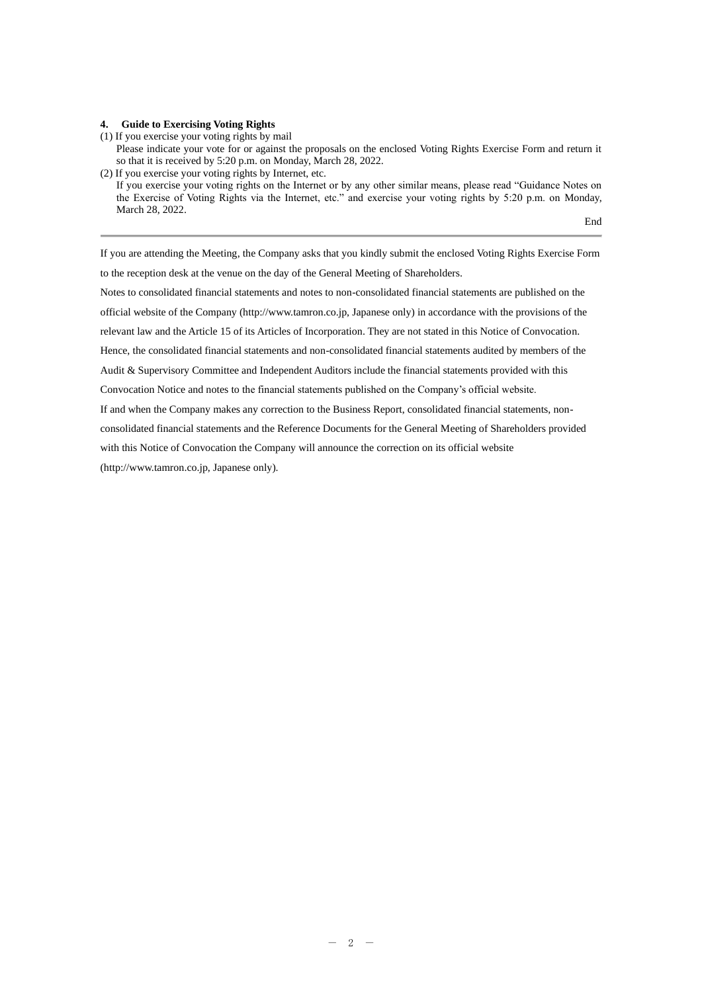#### **4. Guide to Exercising Voting Rights**

(1) If you exercise your voting rights by mail

Please indicate your vote for or against the proposals on the enclosed Voting Rights Exercise Form and return it so that it is received by 5:20 p.m. on Monday, March 28, 2022.

(2) If you exercise your voting rights by Internet, etc. If you exercise your voting rights on the Internet or by any other similar means, please read "Guidance Notes on the Exercise of Voting Rights via the Internet, etc." and exercise your voting rights by 5:20 p.m. on Monday, March 28, 2022.

End

If you are attending the Meeting, the Company asks that you kindly submit the enclosed Voting Rights Exercise Form to the reception desk at the venue on the day of the General Meeting of Shareholders.

Notes to consolidated financial statements and notes to non-consolidated financial statements are published on the official website of the Company (http://www.tamron.co.jp, Japanese only) in accordance with the provisions of the relevant law and the Article 15 of its Articles of Incorporation. They are not stated in this Notice of Convocation. Hence, the consolidated financial statements and non-consolidated financial statements audited by members of the Audit & Supervisory Committee and Independent Auditors include the financial statements provided with this Convocation Notice and notes to the financial statements published on the Company's official website.

If and when the Company makes any correction to the Business Report, consolidated financial statements, non-

consolidated financial statements and the Reference Documents for the General Meeting of Shareholders provided

with this Notice of Convocation the Company will announce the correction on its official website

(http://www.tamron.co.jp, Japanese only).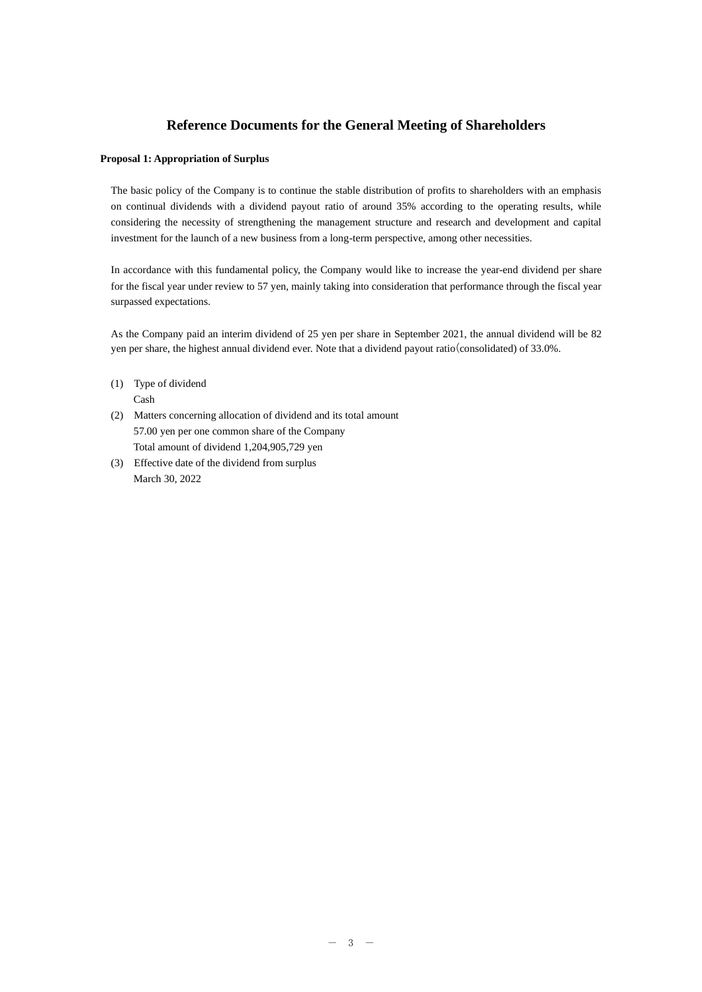# **Reference Documents for the General Meeting of Shareholders**

## **Proposal 1: Appropriation of Surplus**

The basic policy of the Company is to continue the stable distribution of profits to shareholders with an emphasis on continual dividends with a dividend payout ratio of around 35% according to the operating results, while considering the necessity of strengthening the management structure and research and development and capital investment for the launch of a new business from a long-term perspective, among other necessities.

In accordance with this fundamental policy, the Company would like to increase the year-end dividend per share for the fiscal year under review to 57 yen, mainly taking into consideration that performance through the fiscal year surpassed expectations.

As the Company paid an interim dividend of 25 yen per share in September 2021, the annual dividend will be 82 yen per share, the highest annual dividend ever. Note that a dividend payout ratio(consolidated) of 33.0%.

- (1) Type of dividend Cash
- (2) Matters concerning allocation of dividend and its total amount 57.00 yen per one common share of the Company Total amount of dividend 1,204,905,729 yen
- (3) Effective date of the dividend from surplus March 30, 2022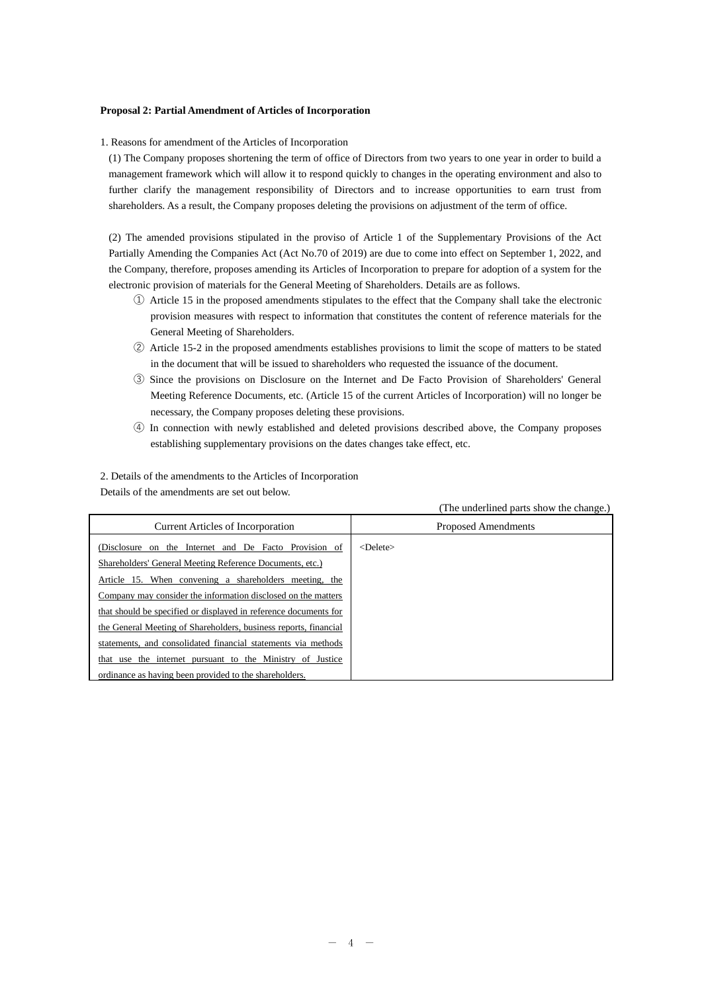### **Proposal 2: Partial Amendment of Articles of Incorporation**

1. Reasons for amendment of the Articles of Incorporation

(1) The Company proposes shortening the term of office of Directors from two years to one year in order to build a management framework which will allow it to respond quickly to changes in the operating environment and also to further clarify the management responsibility of Directors and to increase opportunities to earn trust from shareholders. As a result, the Company proposes deleting the provisions on adjustment of the term of office.

(2) The amended provisions stipulated in the proviso of Article 1 of the Supplementary Provisions of the Act Partially Amending the Companies Act (Act No.70 of 2019) are due to come into effect on September 1, 2022, and the Company, therefore, proposes amending its Articles of Incorporation to prepare for adoption of a system for the electronic provision of materials for the General Meeting of Shareholders. Details are as follows.

- ① Article 15 in the proposed amendments stipulates to the effect that the Company shall take the electronic provision measures with respect to information that constitutes the content of reference materials for the General Meeting of Shareholders.
- ② Article 15-2 in the proposed amendments establishes provisions to limit the scope of matters to be stated in the document that will be issued to shareholders who requested the issuance of the document.
- ③ Since the provisions on Disclosure on the Internet and De Facto Provision of Shareholders' General Meeting Reference Documents, etc. (Article 15 of the current Articles of Incorporation) will no longer be necessary, the Company proposes deleting these provisions.
- ④ In connection with newly established and deleted provisions described above, the Company proposes establishing supplementary provisions on the dates changes take effect, etc.

2. Details of the amendments to the Articles of Incorporation Details of the amendments are set out below.

(The underlined parts show the change.)

| <b>Current Articles of Incorporation</b>                         | Proposed Amendments  |
|------------------------------------------------------------------|----------------------|
| (Disclosure on the Internet and De Facto Provision of            | $\leq$ Delete $\geq$ |
| Shareholders' General Meeting Reference Documents, etc.)         |                      |
| Article 15. When convening a shareholders meeting, the           |                      |
| Company may consider the information disclosed on the matters    |                      |
| that should be specified or displayed in reference documents for |                      |
| the General Meeting of Shareholders, business reports, financial |                      |
| statements, and consolidated financial statements via methods    |                      |
| that use the internet pursuant to the Ministry of Justice        |                      |
| ordinance as having been provided to the shareholders.           |                      |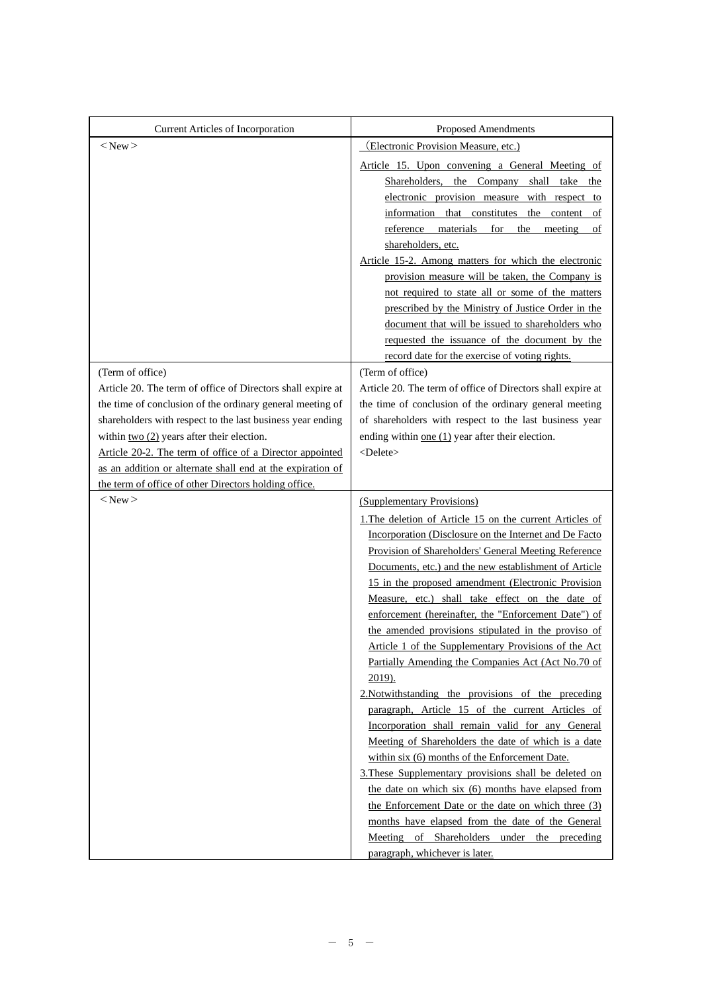| Current Articles of Incorporation                                               | Proposed Amendments                                                                                                   |
|---------------------------------------------------------------------------------|-----------------------------------------------------------------------------------------------------------------------|
| $<$ New $>$                                                                     | (Electronic Provision Measure, etc.)                                                                                  |
|                                                                                 | Article 15. Upon convening a General Meeting of                                                                       |
|                                                                                 | Shareholders, the Company shall take the                                                                              |
|                                                                                 | electronic provision measure with respect to                                                                          |
|                                                                                 | information that constitutes the content of                                                                           |
|                                                                                 | reference materials for the meeting<br>of                                                                             |
|                                                                                 | shareholders, etc.                                                                                                    |
|                                                                                 | Article 15-2. Among matters for which the electronic                                                                  |
|                                                                                 | provision measure will be taken, the Company is                                                                       |
|                                                                                 | not required to state all or some of the matters                                                                      |
|                                                                                 | prescribed by the Ministry of Justice Order in the                                                                    |
|                                                                                 | document that will be issued to shareholders who                                                                      |
|                                                                                 | requested the issuance of the document by the                                                                         |
|                                                                                 | record date for the exercise of voting rights.<br>(Term of office)                                                    |
| (Term of office)<br>Article 20. The term of office of Directors shall expire at |                                                                                                                       |
| the time of conclusion of the ordinary general meeting of                       | Article 20. The term of office of Directors shall expire at<br>the time of conclusion of the ordinary general meeting |
| shareholders with respect to the last business year ending                      | of shareholders with respect to the last business year                                                                |
| within two (2) years after their election.                                      | ending within one $(1)$ year after their election.                                                                    |
| Article 20-2. The term of office of a Director appointed                        | <delete></delete>                                                                                                     |
| as an addition or alternate shall end at the expiration of                      |                                                                                                                       |
| the term of office of other Directors holding office.                           |                                                                                                                       |
| $<$ New $>$                                                                     | (Supplementary Provisions)                                                                                            |
|                                                                                 | 1. The deletion of Article 15 on the current Articles of                                                              |
|                                                                                 | Incorporation (Disclosure on the Internet and De Facto                                                                |
|                                                                                 |                                                                                                                       |
|                                                                                 | Provision of Shareholders' General Meeting Reference                                                                  |
|                                                                                 | Documents, etc.) and the new establishment of Article                                                                 |
|                                                                                 | 15 in the proposed amendment (Electronic Provision                                                                    |
|                                                                                 | Measure, etc.) shall take effect on the date of                                                                       |
|                                                                                 | enforcement (hereinafter, the "Enforcement Date") of                                                                  |
|                                                                                 | the amended provisions stipulated in the proviso of                                                                   |
|                                                                                 | Article 1 of the Supplementary Provisions of the Act                                                                  |
|                                                                                 | Partially Amending the Companies Act (Act No.70 of                                                                    |
|                                                                                 | 2019).                                                                                                                |
|                                                                                 | 2. Notwithstanding the provisions of the preceding                                                                    |
|                                                                                 | paragraph, Article 15 of the current Articles of                                                                      |
|                                                                                 | Incorporation shall remain valid for any General                                                                      |
|                                                                                 | Meeting of Shareholders the date of which is a date                                                                   |
|                                                                                 | within six (6) months of the Enforcement Date.                                                                        |
|                                                                                 | 3. These Supplementary provisions shall be deleted on                                                                 |
|                                                                                 | the date on which six (6) months have elapsed from                                                                    |
|                                                                                 | the Enforcement Date or the date on which three (3)<br>months have elapsed from the date of the General               |
|                                                                                 | Meeting of Shareholders under the preceding                                                                           |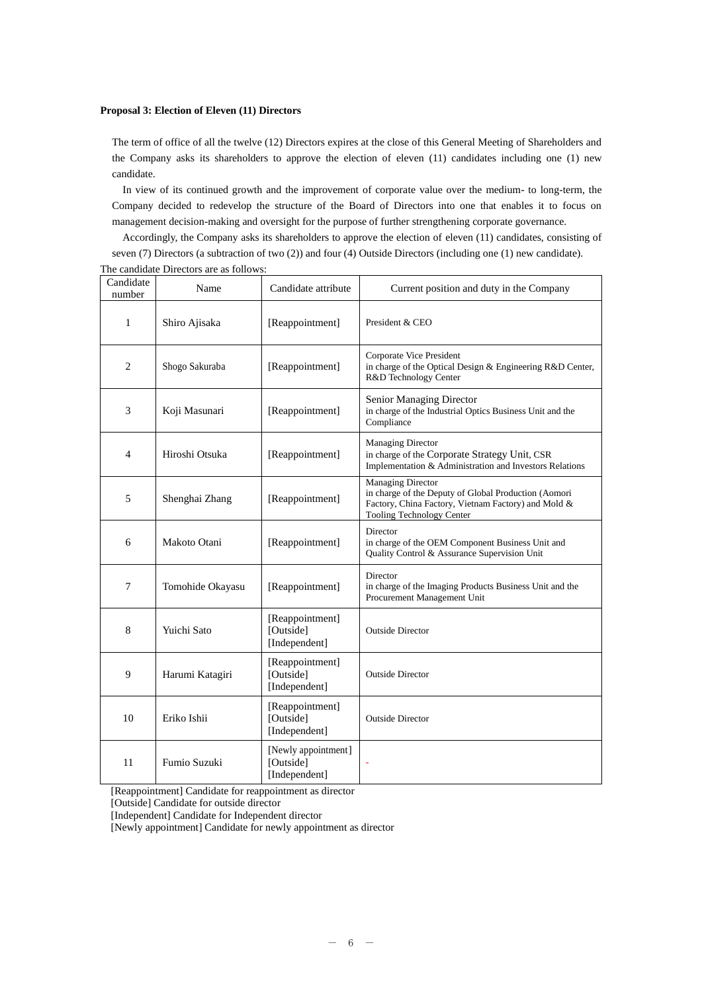## **Proposal 3: Election of Eleven (11) Directors**

The term of office of all the twelve (12) Directors expires at the close of this General Meeting of Shareholders and the Company asks its shareholders to approve the election of eleven (11) candidates including one (1) new candidate.

In view of its continued growth and the improvement of corporate value over the medium- to long-term, the Company decided to redevelop the structure of the Board of Directors into one that enables it to focus on management decision-making and oversight for the purpose of further strengthening corporate governance.

Accordingly, the Company asks its shareholders to approve the election of eleven (11) candidates, consisting of seven (7) Directors (a subtraction of two (2)) and four (4) Outside Directors (including one (1) new candidate). The candidate Directors are as follows:

| Candidate<br>number | Name             | Candidate attribute                               | Current position and duty in the Company                                                                                                                      |  |  |  |
|---------------------|------------------|---------------------------------------------------|---------------------------------------------------------------------------------------------------------------------------------------------------------------|--|--|--|
| 1                   | Shiro Ajisaka    | [Reappointment]                                   | President & CEO                                                                                                                                               |  |  |  |
| $\overline{2}$      | Shogo Sakuraba   | [Reappointment]                                   | Corporate Vice President<br>in charge of the Optical Design & Engineering R&D Center,<br>R&D Technology Center                                                |  |  |  |
| 3                   | Koji Masunari    | [Reappointment]                                   | Senior Managing Director<br>in charge of the Industrial Optics Business Unit and the<br>Compliance                                                            |  |  |  |
| $\overline{4}$      | Hiroshi Otsuka   | [Reappointment]                                   | Managing Director<br>in charge of the Corporate Strategy Unit, CSR<br>Implementation & Administration and Investors Relations                                 |  |  |  |
| 5                   | Shenghai Zhang   | [Reappointment]                                   | Managing Director<br>in charge of the Deputy of Global Production (Aomori<br>Factory, China Factory, Vietnam Factory) and Mold &<br>Tooling Technology Center |  |  |  |
| 6                   | Makoto Otani     | [Reappointment]                                   | Director<br>in charge of the OEM Component Business Unit and<br>Quality Control & Assurance Supervision Unit                                                  |  |  |  |
| $\overline{7}$      | Tomohide Okayasu | [Reappointment]                                   | Director<br>in charge of the Imaging Products Business Unit and the<br>Procurement Management Unit                                                            |  |  |  |
| 8                   | Yuichi Sato      | [Reappointment]<br>[Outside]<br>[Independent]     | <b>Outside Director</b>                                                                                                                                       |  |  |  |
| 9                   | Harumi Katagiri  | [Reappointment]<br>[Outside]<br>[Independent]     | <b>Outside Director</b>                                                                                                                                       |  |  |  |
| 10                  | Eriko Ishii      | [Reappointment]<br>[Outside]<br>[Independent]     | <b>Outside Director</b>                                                                                                                                       |  |  |  |
| 11                  | Fumio Suzuki     | [Newly appointment]<br>[Outside]<br>[Independent] |                                                                                                                                                               |  |  |  |

[Reappointment] Candidate for reappointment as director

[Outside] Candidate for outside director

[Independent] Candidate for Independent director

[Newly appointment] Candidate for newly appointment as director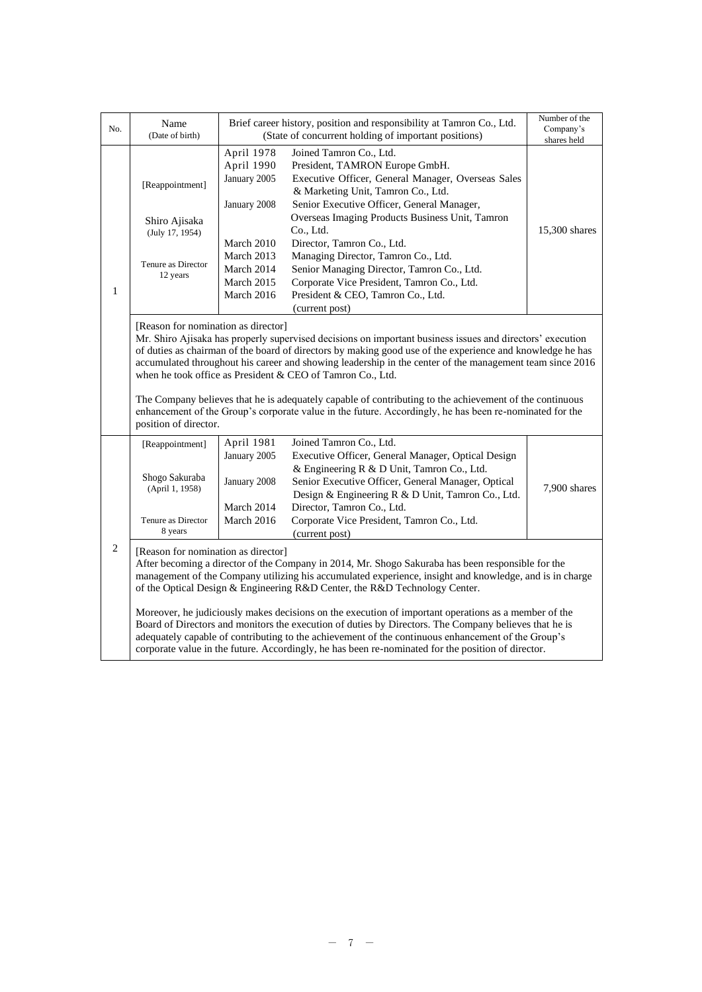| No.                                                                                                                                                                                                                                                                                                                                                                                                                                                                                                   | Name<br>(Date of birth)                                                                                                                                                                                                                                                                                                                                                                                                                                                                                                                                                                                                                                                                                                                                                          |                                                                                                                                                                                                                                                                                                                                                                                                                                                                                                                                                                                                                                                               | Brief career history, position and responsibility at Tamron Co., Ltd.<br>(State of concurrent holding of important positions)                                                                                                                                                                                                                                                                                                                                                               | Number of the<br>Company's<br>shares held |  |  |  |
|-------------------------------------------------------------------------------------------------------------------------------------------------------------------------------------------------------------------------------------------------------------------------------------------------------------------------------------------------------------------------------------------------------------------------------------------------------------------------------------------------------|----------------------------------------------------------------------------------------------------------------------------------------------------------------------------------------------------------------------------------------------------------------------------------------------------------------------------------------------------------------------------------------------------------------------------------------------------------------------------------------------------------------------------------------------------------------------------------------------------------------------------------------------------------------------------------------------------------------------------------------------------------------------------------|---------------------------------------------------------------------------------------------------------------------------------------------------------------------------------------------------------------------------------------------------------------------------------------------------------------------------------------------------------------------------------------------------------------------------------------------------------------------------------------------------------------------------------------------------------------------------------------------------------------------------------------------------------------|---------------------------------------------------------------------------------------------------------------------------------------------------------------------------------------------------------------------------------------------------------------------------------------------------------------------------------------------------------------------------------------------------------------------------------------------------------------------------------------------|-------------------------------------------|--|--|--|
| $\mathbf{1}$                                                                                                                                                                                                                                                                                                                                                                                                                                                                                          | [Reappointment]<br>Shiro Ajisaka<br>(July 17, 1954)<br>Tenure as Director<br>12 years                                                                                                                                                                                                                                                                                                                                                                                                                                                                                                                                                                                                                                                                                            | April 1978<br>April 1990<br>January 2005<br>January 2008<br>March 2010<br>March 2013<br>March 2014<br>March 2015<br>March 2016                                                                                                                                                                                                                                                                                                                                                                                                                                                                                                                                | Joined Tamron Co., Ltd.<br>President, TAMRON Europe GmbH.<br>Executive Officer, General Manager, Overseas Sales<br>& Marketing Unit, Tamron Co., Ltd.<br>Senior Executive Officer, General Manager,<br>Overseas Imaging Products Business Unit, Tamron<br>Co., Ltd.<br>Director, Tamron Co., Ltd.<br>Managing Director, Tamron Co., Ltd.<br>Senior Managing Director, Tamron Co., Ltd.<br>Corporate Vice President, Tamron Co., Ltd.<br>President & CEO, Tamron Co., Ltd.<br>(current post) | 15,300 shares                             |  |  |  |
|                                                                                                                                                                                                                                                                                                                                                                                                                                                                                                       | position of director.                                                                                                                                                                                                                                                                                                                                                                                                                                                                                                                                                                                                                                                                                                                                                            | [Reason for nomination as director]<br>Mr. Shiro Ajisaka has properly supervised decisions on important business issues and directors' execution<br>of duties as chairman of the board of directors by making good use of the experience and knowledge he has<br>accumulated throughout his career and showing leadership in the center of the management team since 2016<br>when he took office as President & CEO of Tamron Co., Ltd.<br>The Company believes that he is adequately capable of contributing to the achievement of the continuous<br>enhancement of the Group's corporate value in the future. Accordingly, he has been re-nominated for the |                                                                                                                                                                                                                                                                                                                                                                                                                                                                                             |                                           |  |  |  |
| Joined Tamron Co., Ltd.<br>April 1981<br>[Reappointment]<br>January 2005<br>Executive Officer, General Manager, Optical Design<br>& Engineering R & D Unit, Tamron Co., Ltd.<br>Shogo Sakuraba<br>Senior Executive Officer, General Manager, Optical<br>January 2008<br>7,900 shares<br>(April 1, 1958)<br>Design & Engineering R & D Unit, Tamron Co., Ltd.<br>Director, Tamron Co., Ltd.<br>March 2014<br>March 2016<br>Corporate Vice President, Tamron Co., Ltd.<br>Tenure as Director<br>8 years |                                                                                                                                                                                                                                                                                                                                                                                                                                                                                                                                                                                                                                                                                                                                                                                  |                                                                                                                                                                                                                                                                                                                                                                                                                                                                                                                                                                                                                                                               |                                                                                                                                                                                                                                                                                                                                                                                                                                                                                             |                                           |  |  |  |
| $\mathbf{2}$                                                                                                                                                                                                                                                                                                                                                                                                                                                                                          | (current post)<br>[Reason for nomination as director]<br>After becoming a director of the Company in 2014, Mr. Shogo Sakuraba has been responsible for the<br>management of the Company utilizing his accumulated experience, insight and knowledge, and is in charge<br>of the Optical Design & Engineering R&D Center, the R&D Technology Center.<br>Moreover, he judiciously makes decisions on the execution of important operations as a member of the<br>Board of Directors and monitors the execution of duties by Directors. The Company believes that he is<br>adequately capable of contributing to the achievement of the continuous enhancement of the Group's<br>corporate value in the future. Accordingly, he has been re-nominated for the position of director. |                                                                                                                                                                                                                                                                                                                                                                                                                                                                                                                                                                                                                                                               |                                                                                                                                                                                                                                                                                                                                                                                                                                                                                             |                                           |  |  |  |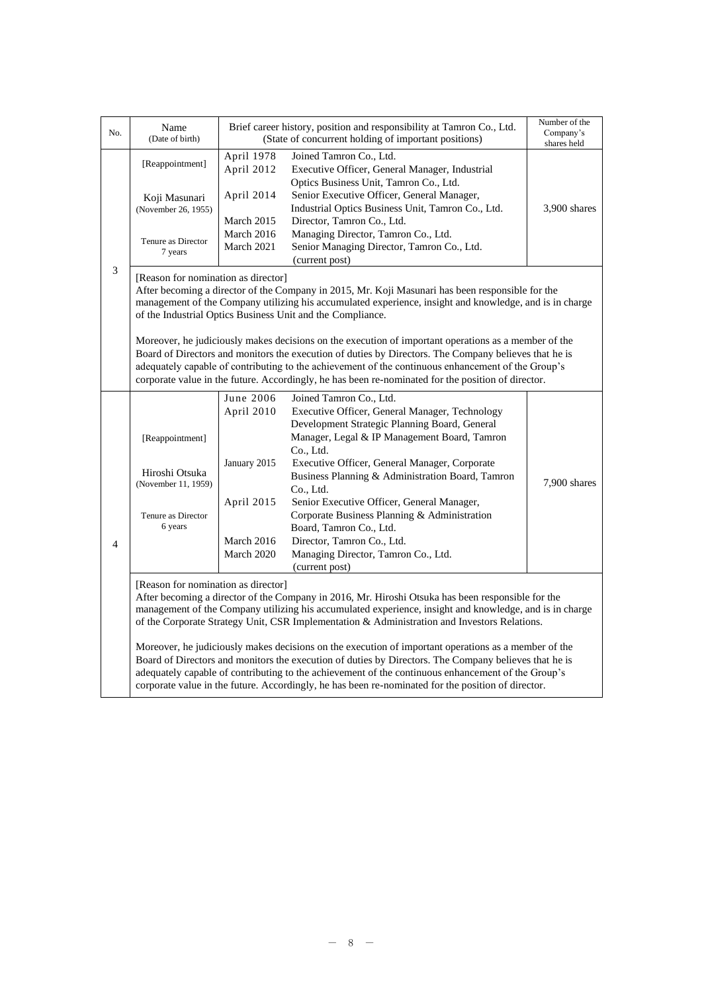| No.            | Name<br>(Date of birth)                                                                                                                                                                                                                                                                                                                                                                                                                                                                                                                                                                                                                                                                                                                                                          |                                                                                                                                                                                                                                                                                                                                                                                                                                                                                                                                                                                                                                                                                                                                               | Brief career history, position and responsibility at Tamron Co., Ltd.<br>(State of concurrent holding of important positions)                                                                                                                                     | Number of the<br>Company's<br>shares held |  |  |  |
|----------------|----------------------------------------------------------------------------------------------------------------------------------------------------------------------------------------------------------------------------------------------------------------------------------------------------------------------------------------------------------------------------------------------------------------------------------------------------------------------------------------------------------------------------------------------------------------------------------------------------------------------------------------------------------------------------------------------------------------------------------------------------------------------------------|-----------------------------------------------------------------------------------------------------------------------------------------------------------------------------------------------------------------------------------------------------------------------------------------------------------------------------------------------------------------------------------------------------------------------------------------------------------------------------------------------------------------------------------------------------------------------------------------------------------------------------------------------------------------------------------------------------------------------------------------------|-------------------------------------------------------------------------------------------------------------------------------------------------------------------------------------------------------------------------------------------------------------------|-------------------------------------------|--|--|--|
|                | [Reappointment]                                                                                                                                                                                                                                                                                                                                                                                                                                                                                                                                                                                                                                                                                                                                                                  | April 1978<br>April 2012                                                                                                                                                                                                                                                                                                                                                                                                                                                                                                                                                                                                                                                                                                                      | Joined Tamron Co., Ltd.<br>Executive Officer, General Manager, Industrial<br>Optics Business Unit, Tamron Co., Ltd.                                                                                                                                               |                                           |  |  |  |
|                | Koji Masunari<br>(November 26, 1955)                                                                                                                                                                                                                                                                                                                                                                                                                                                                                                                                                                                                                                                                                                                                             | April 2014                                                                                                                                                                                                                                                                                                                                                                                                                                                                                                                                                                                                                                                                                                                                    | Senior Executive Officer, General Manager,<br>Industrial Optics Business Unit, Tamron Co., Ltd.                                                                                                                                                                   | 3,900 shares                              |  |  |  |
|                | Tenure as Director                                                                                                                                                                                                                                                                                                                                                                                                                                                                                                                                                                                                                                                                                                                                                               | March 2015<br>March 2016<br>March 2021                                                                                                                                                                                                                                                                                                                                                                                                                                                                                                                                                                                                                                                                                                        | Director, Tamron Co., Ltd.<br>Managing Director, Tamron Co., Ltd.<br>Senior Managing Director, Tamron Co., Ltd.                                                                                                                                                   |                                           |  |  |  |
|                | 7 years                                                                                                                                                                                                                                                                                                                                                                                                                                                                                                                                                                                                                                                                                                                                                                          |                                                                                                                                                                                                                                                                                                                                                                                                                                                                                                                                                                                                                                                                                                                                               | (current post)                                                                                                                                                                                                                                                    |                                           |  |  |  |
| 3              |                                                                                                                                                                                                                                                                                                                                                                                                                                                                                                                                                                                                                                                                                                                                                                                  | [Reason for nomination as director]<br>After becoming a director of the Company in 2015, Mr. Koji Masunari has been responsible for the<br>management of the Company utilizing his accumulated experience, insight and knowledge, and is in charge<br>of the Industrial Optics Business Unit and the Compliance.<br>Moreover, he judiciously makes decisions on the execution of important operations as a member of the<br>Board of Directors and monitors the execution of duties by Directors. The Company believes that he is<br>adequately capable of contributing to the achievement of the continuous enhancement of the Group's<br>corporate value in the future. Accordingly, he has been re-nominated for the position of director. |                                                                                                                                                                                                                                                                   |                                           |  |  |  |
|                |                                                                                                                                                                                                                                                                                                                                                                                                                                                                                                                                                                                                                                                                                                                                                                                  | June 2006                                                                                                                                                                                                                                                                                                                                                                                                                                                                                                                                                                                                                                                                                                                                     | Joined Tamron Co., Ltd.                                                                                                                                                                                                                                           |                                           |  |  |  |
|                | [Reappointment]<br>Hiroshi Otsuka                                                                                                                                                                                                                                                                                                                                                                                                                                                                                                                                                                                                                                                                                                                                                | April 2010<br>January 2015                                                                                                                                                                                                                                                                                                                                                                                                                                                                                                                                                                                                                                                                                                                    | Executive Officer, General Manager, Technology<br>Development Strategic Planning Board, General<br>Manager, Legal & IP Management Board, Tamron<br>Co., Ltd.<br>Executive Officer, General Manager, Corporate<br>Business Planning & Administration Board, Tamron |                                           |  |  |  |
|                | (November 11, 1959)                                                                                                                                                                                                                                                                                                                                                                                                                                                                                                                                                                                                                                                                                                                                                              |                                                                                                                                                                                                                                                                                                                                                                                                                                                                                                                                                                                                                                                                                                                                               | Co., Ltd.                                                                                                                                                                                                                                                         | 7,900 shares                              |  |  |  |
|                | Tenure as Director<br>6 years                                                                                                                                                                                                                                                                                                                                                                                                                                                                                                                                                                                                                                                                                                                                                    | April 2015                                                                                                                                                                                                                                                                                                                                                                                                                                                                                                                                                                                                                                                                                                                                    | Senior Executive Officer, General Manager,<br>Corporate Business Planning & Administration<br>Board, Tamron Co., Ltd.                                                                                                                                             |                                           |  |  |  |
| $\overline{4}$ |                                                                                                                                                                                                                                                                                                                                                                                                                                                                                                                                                                                                                                                                                                                                                                                  | March 2016<br>March 2020                                                                                                                                                                                                                                                                                                                                                                                                                                                                                                                                                                                                                                                                                                                      | Director, Tamron Co., Ltd.<br>Managing Director, Tamron Co., Ltd.<br>(current post)                                                                                                                                                                               |                                           |  |  |  |
|                | [Reason for nomination as director]<br>After becoming a director of the Company in 2016, Mr. Hiroshi Otsuka has been responsible for the<br>management of the Company utilizing his accumulated experience, insight and knowledge, and is in charge<br>of the Corporate Strategy Unit, CSR Implementation & Administration and Investors Relations.<br>Moreover, he judiciously makes decisions on the execution of important operations as a member of the<br>Board of Directors and monitors the execution of duties by Directors. The Company believes that he is<br>adequately capable of contributing to the achievement of the continuous enhancement of the Group's<br>corporate value in the future. Accordingly, he has been re-nominated for the position of director. |                                                                                                                                                                                                                                                                                                                                                                                                                                                                                                                                                                                                                                                                                                                                               |                                                                                                                                                                                                                                                                   |                                           |  |  |  |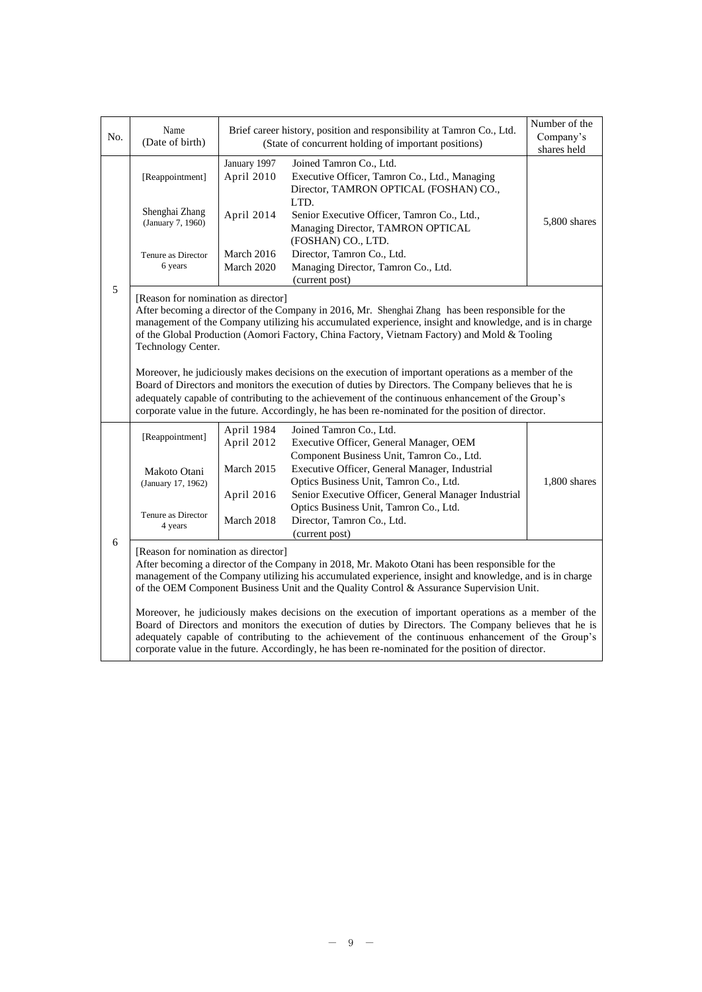| No. | Name<br>(Date of birth)                                                                                                                                                                                                                                                                                                                                                                                                   |                            | Brief career history, position and responsibility at Tamron Co., Ltd.<br>(State of concurrent holding of important positions)                                                                                                                                                                                | Number of the<br>Company's<br>shares held |  |  |
|-----|---------------------------------------------------------------------------------------------------------------------------------------------------------------------------------------------------------------------------------------------------------------------------------------------------------------------------------------------------------------------------------------------------------------------------|----------------------------|--------------------------------------------------------------------------------------------------------------------------------------------------------------------------------------------------------------------------------------------------------------------------------------------------------------|-------------------------------------------|--|--|
|     | [Reappointment]                                                                                                                                                                                                                                                                                                                                                                                                           | January 1997<br>April 2010 | Joined Tamron Co., Ltd.<br>Executive Officer, Tamron Co., Ltd., Managing<br>Director, TAMRON OPTICAL (FOSHAN) CO.,                                                                                                                                                                                           |                                           |  |  |
|     | Shenghai Zhang<br>(January 7, 1960)                                                                                                                                                                                                                                                                                                                                                                                       | April 2014                 | LTD.<br>Senior Executive Officer, Tamron Co., Ltd.,<br>Managing Director, TAMRON OPTICAL<br>(FOSHAN) CO., LTD.                                                                                                                                                                                               | 5,800 shares                              |  |  |
|     | Tenure as Director<br>6 years                                                                                                                                                                                                                                                                                                                                                                                             | March 2016<br>March 2020   | Director, Tamron Co., Ltd.<br>Managing Director, Tamron Co., Ltd.<br>(current post)                                                                                                                                                                                                                          |                                           |  |  |
| 5   | [Reason for nomination as director]<br>Technology Center.                                                                                                                                                                                                                                                                                                                                                                 |                            | After becoming a director of the Company in 2016, Mr. Shenghai Zhang has been responsible for the<br>management of the Company utilizing his accumulated experience, insight and knowledge, and is in charge<br>of the Global Production (Aomori Factory, China Factory, Vietnam Factory) and Mold & Tooling |                                           |  |  |
|     | Moreover, he judiciously makes decisions on the execution of important operations as a member of the<br>Board of Directors and monitors the execution of duties by Directors. The Company believes that he is<br>adequately capable of contributing to the achievement of the continuous enhancement of the Group's<br>corporate value in the future. Accordingly, he has been re-nominated for the position of director. |                            |                                                                                                                                                                                                                                                                                                              |                                           |  |  |
|     | [Reappointment]                                                                                                                                                                                                                                                                                                                                                                                                           | April 1984<br>April 2012   | Joined Tamron Co., Ltd.<br>Executive Officer, General Manager, OEM                                                                                                                                                                                                                                           |                                           |  |  |
|     | Makoto Otani<br>(January 17, 1962)                                                                                                                                                                                                                                                                                                                                                                                        | March 2015                 | Component Business Unit, Tamron Co., Ltd.<br>Executive Officer, General Manager, Industrial<br>Optics Business Unit, Tamron Co., Ltd.                                                                                                                                                                        | 1,800 shares                              |  |  |
| 6   | Tenure as Director<br>4 years                                                                                                                                                                                                                                                                                                                                                                                             | April 2016<br>March 2018   | Senior Executive Officer, General Manager Industrial<br>Optics Business Unit, Tamron Co., Ltd.<br>Director, Tamron Co., Ltd.<br>(current post)                                                                                                                                                               |                                           |  |  |
|     | [Reason for nomination as director]                                                                                                                                                                                                                                                                                                                                                                                       |                            | After becoming a director of the Company in 2018, Mr. Makoto Otani has been responsible for the<br>management of the Company utilizing his accumulated experience, insight and knowledge, and is in charge<br>of the OEM Component Business Unit and the Quality Control & Assurance Supervision Unit.       |                                           |  |  |
|     | Moreover, he judiciously makes decisions on the execution of important operations as a member of the<br>Board of Directors and monitors the execution of duties by Directors. The Company believes that he is<br>adequately capable of contributing to the achievement of the continuous enhancement of the Group's<br>corporate value in the future. Accordingly, he has been re-nominated for the position of director. |                            |                                                                                                                                                                                                                                                                                                              |                                           |  |  |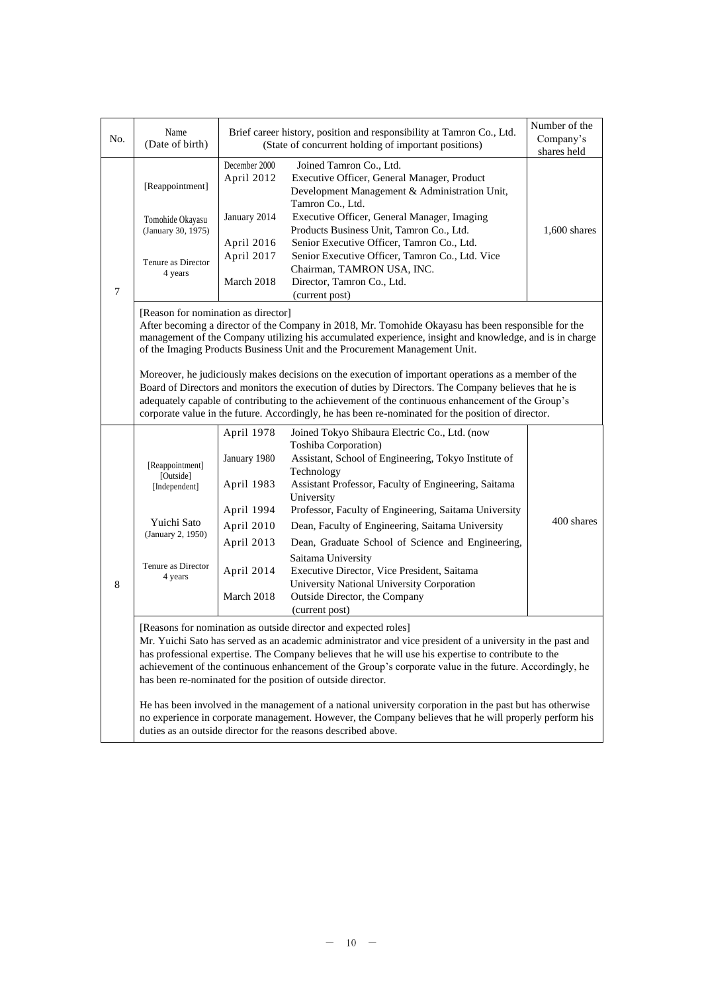| No.            | Name<br>(Date of birth)                                                                                                                                                                                                                                                                                                                                                                                                                                                                                                                                                                                                                                                                                                                                                            |                                                                                                                | Brief career history, position and responsibility at Tamron Co., Ltd.<br>(State of concurrent holding of important positions)                                                                                                                                                                                                                                                                                                                                                                                                                             | Number of the<br>Company's<br>shares held |  |  |
|----------------|------------------------------------------------------------------------------------------------------------------------------------------------------------------------------------------------------------------------------------------------------------------------------------------------------------------------------------------------------------------------------------------------------------------------------------------------------------------------------------------------------------------------------------------------------------------------------------------------------------------------------------------------------------------------------------------------------------------------------------------------------------------------------------|----------------------------------------------------------------------------------------------------------------|-----------------------------------------------------------------------------------------------------------------------------------------------------------------------------------------------------------------------------------------------------------------------------------------------------------------------------------------------------------------------------------------------------------------------------------------------------------------------------------------------------------------------------------------------------------|-------------------------------------------|--|--|
| $\overline{7}$ | [Reappointment]<br>Tomohide Okayasu<br>(January 30, 1975)<br>Tenure as Director<br>4 years                                                                                                                                                                                                                                                                                                                                                                                                                                                                                                                                                                                                                                                                                         | December 2000<br>April 2012<br>January 2014<br>April 2016<br>April 2017<br>March 2018                          | Joined Tamron Co., Ltd.<br>Executive Officer, General Manager, Product<br>Development Management & Administration Unit,<br>Tamron Co., Ltd.<br>Executive Officer, General Manager, Imaging<br>Products Business Unit, Tamron Co., Ltd.<br>Senior Executive Officer, Tamron Co., Ltd.<br>Senior Executive Officer, Tamron Co., Ltd. Vice<br>Chairman, TAMRON USA, INC.<br>Director, Tamron Co., Ltd.                                                                                                                                                       |                                           |  |  |
|                | (current post)<br>[Reason for nomination as director]<br>After becoming a director of the Company in 2018, Mr. Tomohide Okayasu has been responsible for the<br>management of the Company utilizing his accumulated experience, insight and knowledge, and is in charge<br>of the Imaging Products Business Unit and the Procurement Management Unit.<br>Moreover, he judiciously makes decisions on the execution of important operations as a member of the<br>Board of Directors and monitors the execution of duties by Directors. The Company believes that he is<br>adequately capable of contributing to the achievement of the continuous enhancement of the Group's<br>corporate value in the future. Accordingly, he has been re-nominated for the position of director. |                                                                                                                |                                                                                                                                                                                                                                                                                                                                                                                                                                                                                                                                                           |                                           |  |  |
| 8              | [Reappointment]<br>[Outside]<br>[Independent]<br>Yuichi Sato<br>(January 2, 1950)<br>Tenure as Director<br>4 years                                                                                                                                                                                                                                                                                                                                                                                                                                                                                                                                                                                                                                                                 | April 1978<br>January 1980<br>April 1983<br>April 1994<br>April 2010<br>April 2013<br>April 2014<br>March 2018 | Joined Tokyo Shibaura Electric Co., Ltd. (now<br>Toshiba Corporation)<br>Assistant, School of Engineering, Tokyo Institute of<br>Technology<br>Assistant Professor, Faculty of Engineering, Saitama<br>University<br>Professor, Faculty of Engineering, Saitama University<br>Dean, Faculty of Engineering, Saitama University<br>Dean, Graduate School of Science and Engineering,<br>Saitama University<br>Executive Director, Vice President, Saitama<br>University National University Corporation<br>Outside Director, the Company<br>(current post) | 400 shares                                |  |  |
|                | [Reasons for nomination as outside director and expected roles]<br>Mr. Yuichi Sato has served as an academic administrator and vice president of a university in the past and<br>has professional expertise. The Company believes that he will use his expertise to contribute to the<br>achievement of the continuous enhancement of the Group's corporate value in the future. Accordingly, he<br>has been re-nominated for the position of outside director.<br>He has been involved in the management of a national university corporation in the past but has otherwise<br>no experience in corporate management. However, the Company believes that he will properly perform his<br>duties as an outside director for the reasons described above.                           |                                                                                                                |                                                                                                                                                                                                                                                                                                                                                                                                                                                                                                                                                           |                                           |  |  |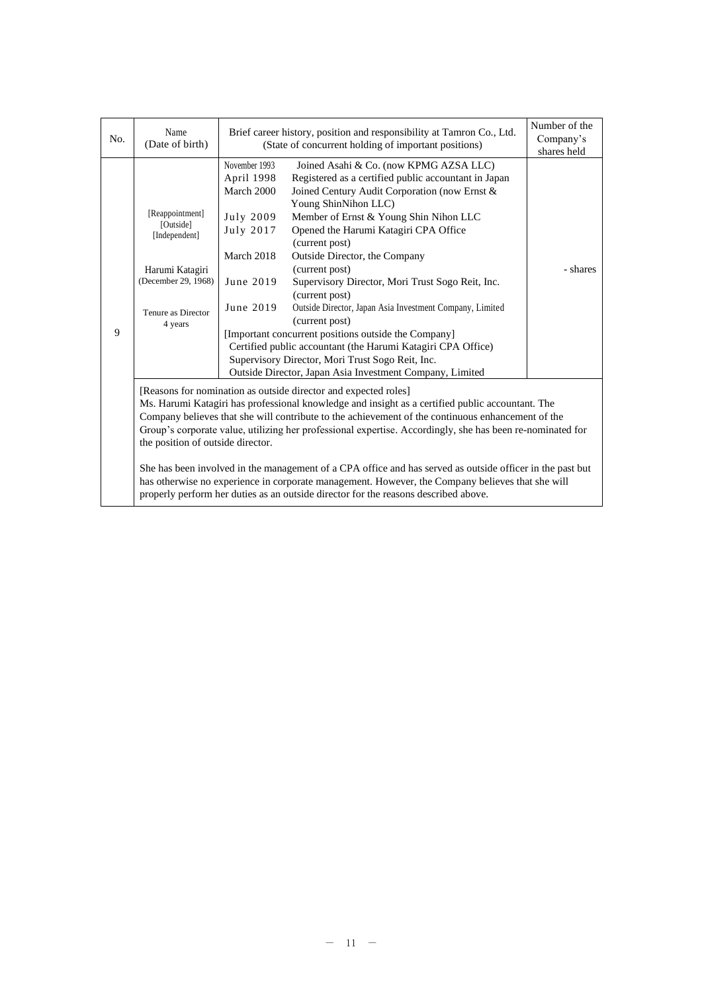| No. | Name<br>(Date of birth)                                                                                                                                                                                                                                                                                                                                                                                                                                                                                                                                                                                                                                                                                                            | Brief career history, position and responsibility at Tamron Co., Ltd.<br>(State of concurrent holding of important positions) | Number of the<br>Company's<br>shares held                                                                                                                                                                                                                                                                                                                                                                                                                                                                                                                                                                                                                                                                                   |          |  |
|-----|------------------------------------------------------------------------------------------------------------------------------------------------------------------------------------------------------------------------------------------------------------------------------------------------------------------------------------------------------------------------------------------------------------------------------------------------------------------------------------------------------------------------------------------------------------------------------------------------------------------------------------------------------------------------------------------------------------------------------------|-------------------------------------------------------------------------------------------------------------------------------|-----------------------------------------------------------------------------------------------------------------------------------------------------------------------------------------------------------------------------------------------------------------------------------------------------------------------------------------------------------------------------------------------------------------------------------------------------------------------------------------------------------------------------------------------------------------------------------------------------------------------------------------------------------------------------------------------------------------------------|----------|--|
| 9   | [Reappointment]<br>[Outside]<br>[Independent]<br>Harumi Katagiri<br>(December 29, 1968)<br>Tenure as Director<br>4 years                                                                                                                                                                                                                                                                                                                                                                                                                                                                                                                                                                                                           | November 1993<br>April 1998<br>March 2000<br>July 2009<br>July 2017<br>March 2018<br>June 2019<br>June 2019                   | Joined Asahi & Co. (now KPMG AZSA LLC)<br>Registered as a certified public accountant in Japan<br>Joined Century Audit Corporation (now Ernst &<br>Young ShinNihon LLC)<br>Member of Ernst & Young Shin Nihon LLC<br>Opened the Harumi Katagiri CPA Office<br>(current post)<br>Outside Director, the Company<br>(current post)<br>Supervisory Director, Mori Trust Sogo Reit, Inc.<br>(current post)<br>Outside Director, Japan Asia Investment Company, Limited<br>(current post)<br>[Important concurrent positions outside the Company]<br>Certified public accountant (the Harumi Katagiri CPA Office)<br>Supervisory Director, Mori Trust Sogo Reit, Inc.<br>Outside Director, Japan Asia Investment Company, Limited | - shares |  |
|     | [Reasons for nomination as outside director and expected roles]<br>Ms. Harumi Katagiri has professional knowledge and insight as a certified public accountant. The<br>Company believes that she will contribute to the achievement of the continuous enhancement of the<br>Group's corporate value, utilizing her professional expertise. Accordingly, she has been re-nominated for<br>the position of outside director.<br>She has been involved in the management of a CPA office and has served as outside officer in the past but<br>has otherwise no experience in corporate management. However, the Company believes that she will<br>properly perform her duties as an outside director for the reasons described above. |                                                                                                                               |                                                                                                                                                                                                                                                                                                                                                                                                                                                                                                                                                                                                                                                                                                                             |          |  |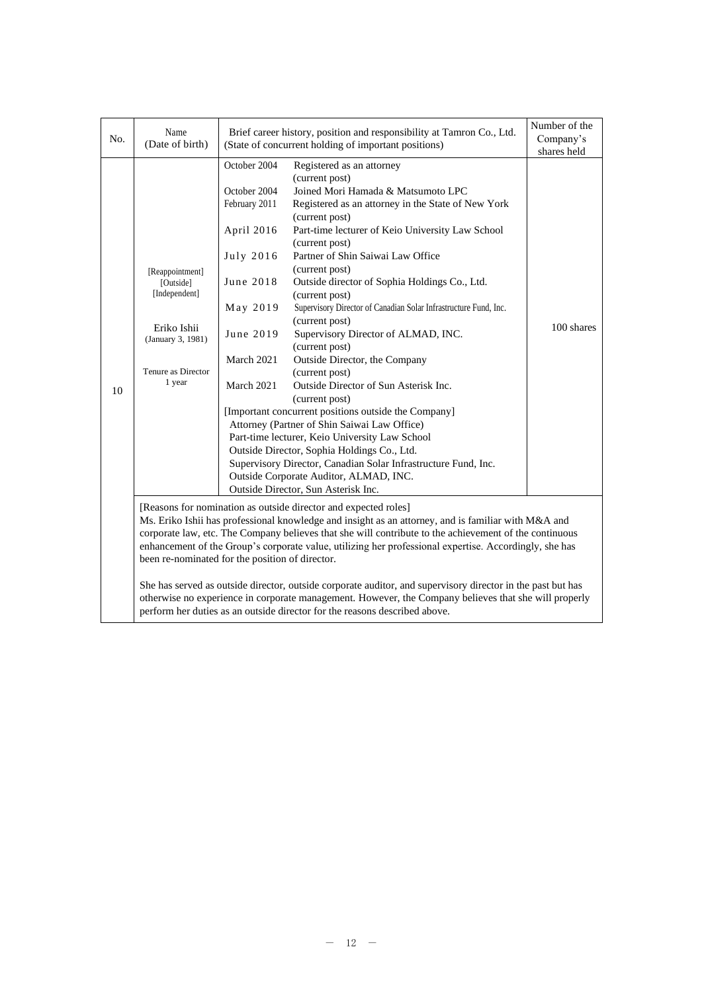| No. | Name<br>(Date of birth)                                                                                           | Brief career history, position and responsibility at Tamron Co., Ltd.<br>(State of concurrent holding of important positions)              | Number of the<br>Company's<br>shares held                                                                                                                                                                                                                                                                                                                                                                                                                                                                                                                                                                                                                                                                                                                                                                                                                                                                                                                                          |            |
|-----|-------------------------------------------------------------------------------------------------------------------|--------------------------------------------------------------------------------------------------------------------------------------------|------------------------------------------------------------------------------------------------------------------------------------------------------------------------------------------------------------------------------------------------------------------------------------------------------------------------------------------------------------------------------------------------------------------------------------------------------------------------------------------------------------------------------------------------------------------------------------------------------------------------------------------------------------------------------------------------------------------------------------------------------------------------------------------------------------------------------------------------------------------------------------------------------------------------------------------------------------------------------------|------------|
| 10  | [Reappointment]<br>[Outside]<br>[Independent]<br>Eriko Ishii<br>(January 3, 1981)<br>Tenure as Director<br>1 year | October 2004<br>October 2004<br>February 2011<br>April 2016<br>July 2016<br>June 2018<br>May 2019<br>June 2019<br>March 2021<br>March 2021 | Registered as an attorney<br>(current post)<br>Joined Mori Hamada & Matsumoto LPC<br>Registered as an attorney in the State of New York<br>(current post)<br>Part-time lecturer of Keio University Law School<br>(current post)<br>Partner of Shin Saiwai Law Office<br>(current post)<br>Outside director of Sophia Holdings Co., Ltd.<br>(current post)<br>Supervisory Director of Canadian Solar Infrastructure Fund, Inc.<br>(current post)<br>Supervisory Director of ALMAD, INC.<br>(current post)<br>Outside Director, the Company<br>(current post)<br>Outside Director of Sun Asterisk Inc.<br>(current post)<br>[Important concurrent positions outside the Company]<br>Attorney (Partner of Shin Saiwai Law Office)<br>Part-time lecturer, Keio University Law School<br>Outside Director, Sophia Holdings Co., Ltd.<br>Supervisory Director, Canadian Solar Infrastructure Fund, Inc.<br>Outside Corporate Auditor, ALMAD, INC.<br>Outside Director, Sun Asterisk Inc. | 100 shares |
|     | been re-nominated for the position of director.                                                                   |                                                                                                                                            | [Reasons for nomination as outside director and expected roles]<br>Ms. Eriko Ishii has professional knowledge and insight as an attorney, and is familiar with M&A and<br>corporate law, etc. The Company believes that she will contribute to the achievement of the continuous<br>enhancement of the Group's corporate value, utilizing her professional expertise. Accordingly, she has<br>She has served as outside director, outside corporate auditor, and supervisory director in the past but has<br>otherwise no experience in corporate management. However, the Company believes that she will properly<br>perform her duties as an outside director for the reasons described above.                                                                                                                                                                                                                                                                                   |            |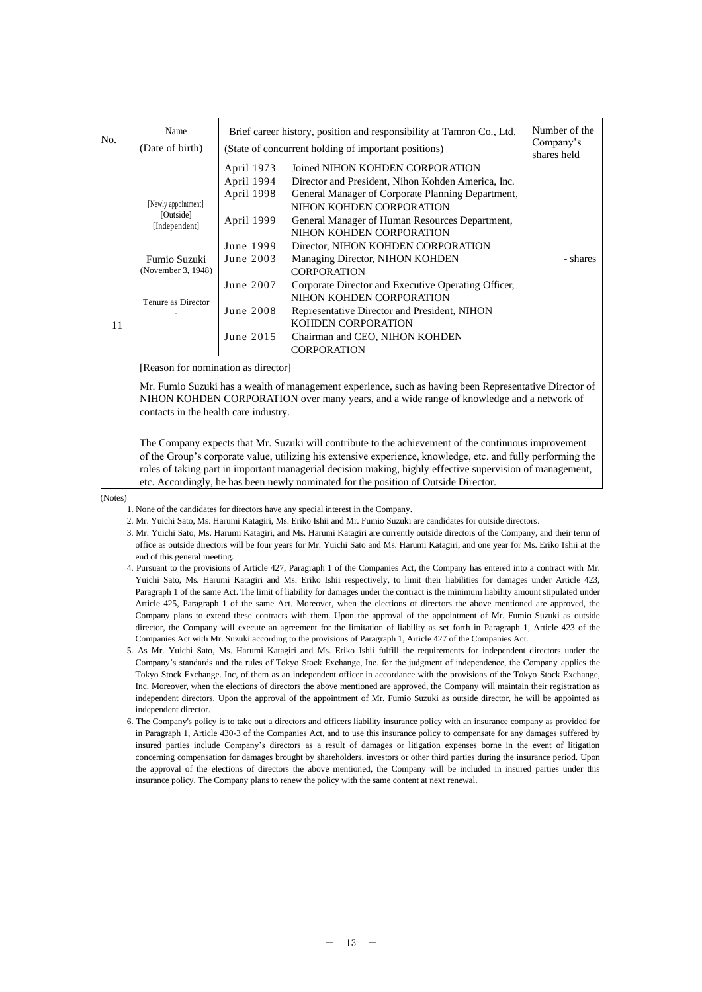| April 1973<br>Joined NIHON KOHDEN CORPORATION<br>April 1994<br>Director and President, Nihon Kohden America, Inc.<br>April 1998<br>General Manager of Corporate Planning Department,<br>[Newly appointment]<br>NIHON KOHDEN CORPORATION<br>[Outside]<br>April 1999<br>General Manager of Human Resources Department,<br>[Independent]<br>NIHON KOHDEN CORPORATION<br>Director, NIHON KOHDEN CORPORATION<br>June 1999<br>Fumio Suzuki<br>June 2003<br>Managing Director, NIHON KOHDEN<br>- shares<br>(November 3, 1948)<br><b>CORPORATION</b><br>June 2007<br>Corporate Director and Executive Operating Officer,<br>NIHON KOHDEN CORPORATION<br>Tenure as Director<br>June 2008<br>Representative Director and President, NIHON<br>KOHDEN CORPORATION<br>11<br>June 2015<br>Chairman and CEO, NIHON KOHDEN<br><b>CORPORATION</b> | No. | Name<br>(Date of birth) | Brief career history, position and responsibility at Tamron Co., Ltd.<br>(State of concurrent holding of important positions) |  |  |  |  |
|----------------------------------------------------------------------------------------------------------------------------------------------------------------------------------------------------------------------------------------------------------------------------------------------------------------------------------------------------------------------------------------------------------------------------------------------------------------------------------------------------------------------------------------------------------------------------------------------------------------------------------------------------------------------------------------------------------------------------------------------------------------------------------------------------------------------------------|-----|-------------------------|-------------------------------------------------------------------------------------------------------------------------------|--|--|--|--|
|                                                                                                                                                                                                                                                                                                                                                                                                                                                                                                                                                                                                                                                                                                                                                                                                                                  |     |                         |                                                                                                                               |  |  |  |  |

[Reason for nomination as director]

Mr. Fumio Suzuki has a wealth of management experience, such as having been Representative Director of NIHON KOHDEN CORPORATION over many years, and a wide range of knowledge and a network of contacts in the health care industry.

The Company expects that Mr. Suzuki will contribute to the achievement of the continuous improvement of the Group's corporate value, utilizing his extensive experience, knowledge, etc. and fully performing the roles of taking part in important managerial decision making, highly effective supervision of management, etc. Accordingly, he has been newly nominated for the position of Outside Director.

(Notes)

1. None of the candidates for directors have any special interest in the Company.

- 2. Mr. Yuichi Sato, Ms. Harumi Katagiri, Ms. Eriko Ishii and Mr. Fumio Suzuki are candidates for outside directors.
- 3. Mr. Yuichi Sato, Ms. Harumi Katagiri, and Ms. Harumi Katagiri are currently outside directors of the Company, and their term of office as outside directors will be four years for Mr. Yuichi Sato and Ms. Harumi Katagiri, and one year for Ms. Eriko Ishii at the end of this general meeting.
- 4. Pursuant to the provisions of Article 427, Paragraph 1 of the Companies Act, the Company has entered into a contract with Mr. Yuichi Sato, Ms. Harumi Katagiri and Ms. Eriko Ishii respectively, to limit their liabilities for damages under Article 423, Paragraph 1 of the same Act. The limit of liability for damages under the contract is the minimum liability amount stipulated under Article 425, Paragraph 1 of the same Act. Moreover, when the elections of directors the above mentioned are approved, the Company plans to extend these contracts with them. Upon the approval of the appointment of Mr. Fumio Suzuki as outside director, the Company will execute an agreement for the limitation of liability as set forth in Paragraph 1, Article 423 of the Companies Act with Mr. Suzuki according to the provisions of Paragraph 1, Article 427 of the Companies Act.
- 5. As Mr. Yuichi Sato, Ms. Harumi Katagiri and Ms. Eriko Ishii fulfill the requirements for independent directors under the Company's standards and the rules of Tokyo Stock Exchange, Inc. for the judgment of independence, the Company applies the Tokyo Stock Exchange. Inc, of them as an independent officer in accordance with the provisions of the Tokyo Stock Exchange, Inc. Moreover, when the elections of directors the above mentioned are approved, the Company will maintain their registration as independent directors. Upon the approval of the appointment of Mr. Fumio Suzuki as outside director, he will be appointed as independent director.
- 6. The Company's policy is to take out a directors and officers liability insurance policy with an insurance company as provided for in Paragraph 1, Article 430-3 of the Companies Act, and to use this insurance policy to compensate for any damages suffered by insured parties include Company's directors as a result of damages or litigation expenses borne in the event of litigation concerning compensation for damages brought by shareholders, investors or other third parties during the insurance period. Upon the approval of the elections of directors the above mentioned, the Company will be included in insured parties under this insurance policy. The Company plans to renew the policy with the same content at next renewal.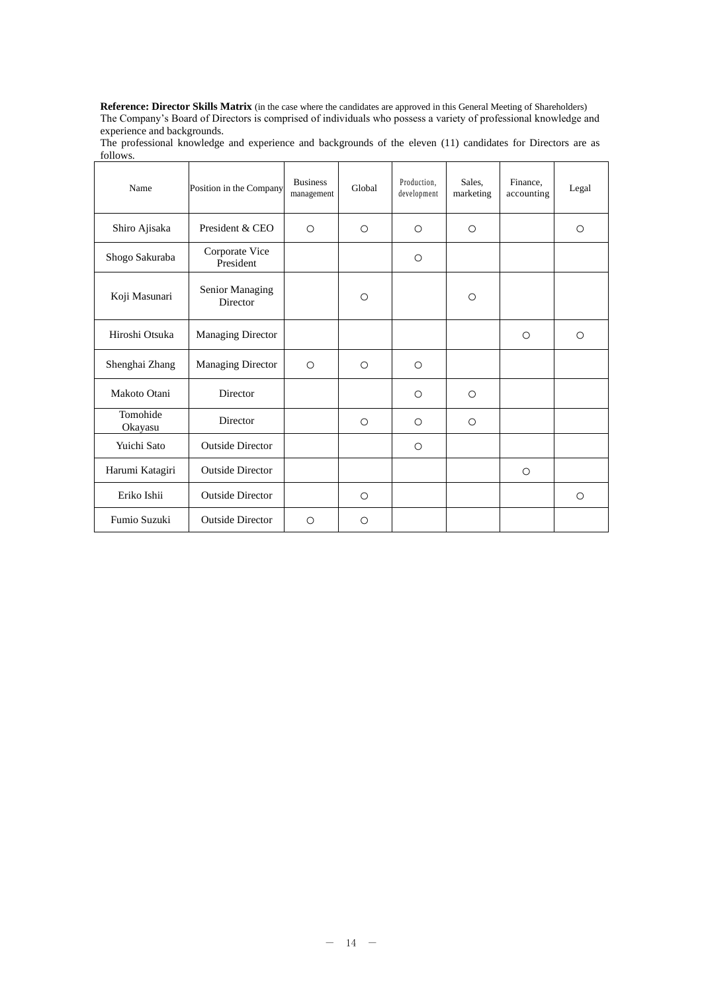**Reference: Director Skills Matrix** (in the case where the candidates are approved in this General Meeting of Shareholders) The Company's Board of Directors is comprised of individuals who possess a variety of professional knowledge and experience and backgrounds.

| Name                | Position in the Company            | <b>Business</b><br>management | Global     | Production.<br>development | Sales.<br>marketing | Finance,<br>accounting | Legal      |
|---------------------|------------------------------------|-------------------------------|------------|----------------------------|---------------------|------------------------|------------|
| Shiro Ajisaka       | President & CEO                    | $\circ$                       | $\bigcirc$ | $\circ$                    | $\circ$             |                        | $\circ$    |
| Shogo Sakuraba      | Corporate Vice<br>President        |                               |            | O                          |                     |                        |            |
| Koji Masunari       | Senior Managing<br><b>Director</b> |                               | $\bigcirc$ |                            | $\bigcirc$          |                        |            |
| Hiroshi Otsuka      | <b>Managing Director</b>           |                               |            |                            |                     | $\bigcirc$             | $\bigcirc$ |
| Shenghai Zhang      | Managing Director                  | $\bigcirc$                    | $\bigcirc$ | $\bigcirc$                 |                     |                        |            |
| Makoto Otani        | Director                           |                               |            | $\bigcirc$                 | $\bigcirc$          |                        |            |
| Tomohide<br>Okayasu | Director                           |                               | $\bigcirc$ | $\circ$                    | $\bigcirc$          |                        |            |
| Yuichi Sato         | <b>Outside Director</b>            |                               |            | $\circ$                    |                     |                        |            |
| Harumi Katagiri     | <b>Outside Director</b>            |                               |            |                            |                     | $\circ$                |            |
| Eriko Ishii         | <b>Outside Director</b>            |                               | $\circ$    |                            |                     |                        | $\circ$    |
| Fumio Suzuki        | <b>Outside Director</b>            | $\bigcirc$                    | Ω          |                            |                     |                        |            |

The professional knowledge and experience and backgrounds of the eleven (11) candidates for Directors are as follows.